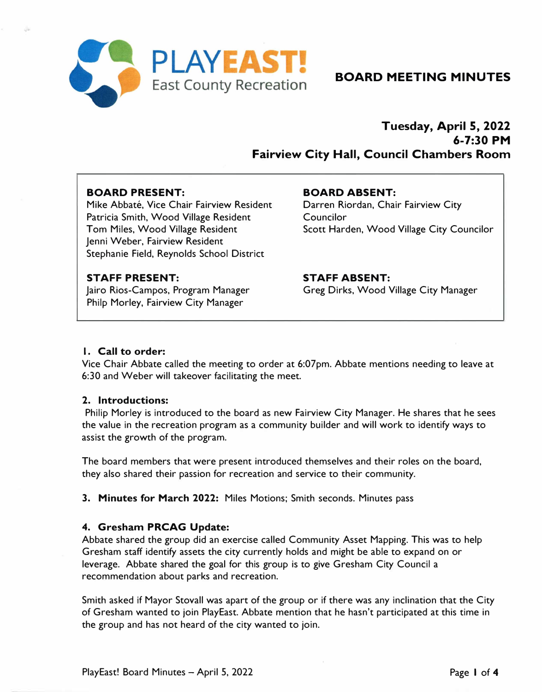

# **BOARD MEETING MINUTES**

# **Tuesday, April S, 2022 6-7:30 PM Fairview City Hall, Council Chambers Room**

## **BOARD PRESENT:**

Mike Abbaté, Vice Chair Fairview Resident Patricia Smith, Wood Village Resident Tom Miles, Wood Village Resident Jenni Weber, Fairview Resident Stephanie Field, Reynolds School District

## **BOARD ABSENT:**

Darren Riordan, Chair Fairview City **Councilor** Scott Harden, Wood Village City Councilor

## **STAFF PRESENT:**

Jairo Rios-Campos, Program Manager Philp Morley, Fairview City Manager

**STAFF ABSENT:**  Greg Dirks, Wood Village City Manager

## **I.** Call to order:

Vice Chair Abbate called the meeting to order at 6:07pm. Abbate mentions needing to leave at 6:30 and Weber will takeover facilitating the meet.

### **2. Introductions:**

Philip Morley is introduced to the board as new Fairview City Manager. He shares that he sees the value in the recreation program as a community builder and will work to identify ways to assist the growth of the program.

The board members that were present introduced themselves and their roles on the board, they also shared their passion for recreation and service to their community.

**3. Minutes for March 2022:** Miles Motions; Smith seconds. Minutes pass

### **4. Gresham PRCAG Update:**

Abbate shared the group did an exercise called Community Asset Mapping. This was to help Gresham staff identify assets the city currently holds and might be able to expand on or leverage. Abbate shared the goal for this group is to give Gresham City Council a recommendation about parks and recreation.

Smith asked if Mayor Stovall was apart of the group or if there was any inclination that the City of Gresham wanted to join PlayEast. Abbate mention that he hasn't participated at this time in the group and has not heard of the city wanted to join.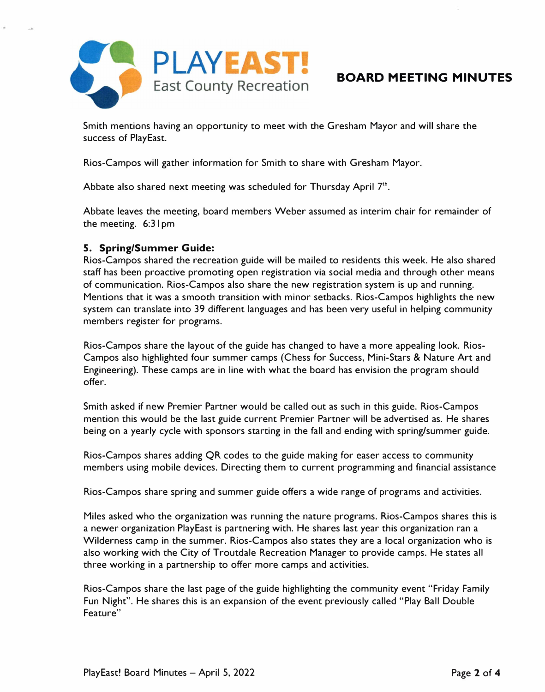

## **BOARD MEETING MINUTES**

Smith mentions having an opportunity to meet with the Gresham Mayor and will share the success of PlayEast.

Rios-Campos will gather information for Smith to share with Gresham Mayor.

Abbate also shared next meeting was scheduled for Thursday April 7<sup>th</sup>.

Abbate leaves the meeting, board members Weber assumed as interim chair for remainder of the meeting. 6:3 I pm

## **5. Spring/Summer Guide:**

Rios-Campos shared the recreation guide will be mailed to residents this week. He also shared staff has been proactive promoting open registration via social media and through other means of communication. Rios-Campos also share the new registration system is up and running. Mentions that it was a smooth transition with minor setbacks. Rios-Campos highlights the new system can translate into 39 different languages and has been very useful in helping community members register for programs.

Rios-Campos share the layout of the guide has changed to have a more appealing look. Rios-Campos also highlighted four summer camps (Chess for Success, Mini-Stars & Nature Art and Engineering). These camps are in line with what the board has envision the program should offer.

Smith asked if new Premier Partner would be called out as such in this guide. Rios-Campos mention this would be the last guide current Premier Partner will be advertised as. He shares being on a yearly cycle with sponsors starting in the fall and ending with spring/summer guide.

Rios-Campos shares adding QR codes to the guide making for easer access to community members using mobile devices. Directing them to current programming and financial assistance

Rios-Campos share spring and summer guide offers a wide range of programs and activities.

Miles asked who the organization was running the nature programs. Rios-Campos shares this is a newer organization PlayEast is partnering with. He shares last year this organization ran a Wilderness camp in the summer. Rios-Campos also states they are a local organization who is also working with the City of Troutdale Recreation Manager to provide camps. He states all three working in a partnership to offer more camps and activities.

Rios-Campos share the last page of the guide highlighting the community event "Friday Family Fun Night". He shares this is an expansion of the event previously called "Play Ball Double Feature"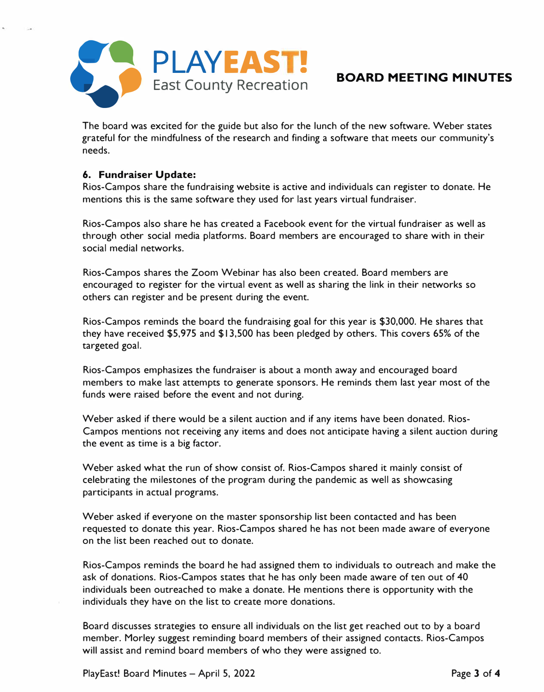

The board was excited for the guide but also for the lunch of the new software. Weber states grateful for the mindfulness of the research and finding a software that meets our community's needs.

## **6. Fundraiser Update:**

Rios-Campos share the fundraising website is active and individuals can register to donate. He mentions this is the same software they used for last years virtual fundraiser.

Rios-Campos also share he has created a Facebook event for the virtual fundraiser as well as through other social media platforms. Board members are encouraged to share with in their social medial networks.

Rios-Campos shares the Zoom Webinar has also been created. Board members are encouraged to register for the virtual event as well as sharing the link in their networks so others can register and be present during the event.

Rios-Campos reminds the board the fundraising goal for this year is \$30,000. He shares that they have received \$5,975 and \$13,500 has been pledged by others. This covers 65% of the targeted goal.

Rios-Campos emphasizes the fundraiser is about a month away and encouraged board members to make last attempts to generate sponsors. He reminds them last year most of the funds were raised before the event and not during.

Weber asked if there would be a silent auction and if any items have been donated. Rios-Campos mentions not receiving any items and does not anticipate having a silent auction during the event as time is a big factor.

Weber asked what the run of show consist of. Rios-Campos shared it mainly consist of celebrating the milestones of the program during the pandemic as well as showcasing participants in actual programs.

Weber asked if everyone on the master sponsorship list been contacted and has been requested to donate this year. Rios-Campos shared he has not been made aware of everyone on the list been reached out to donate.

Rios-Campos reminds the board he had assigned them to individuals to outreach and make the ask of donations. Rios-Campos states that he has only been made aware of ten out of 40 individuals been outreached to make a donate. He mentions there is opportunity with the individuals they have on the list to create more donations.

Board discusses strategies to ensure all individuals on the list get reached out to by a board member. Morley suggest reminding board members of their assigned contacts. Rios-Campos will assist and remind board members of who they were assigned to.